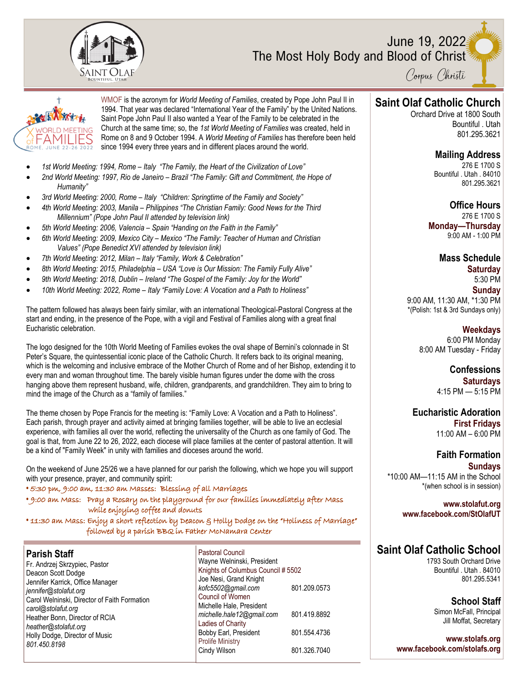

### June 19, 2022 The Most Holy Body and Blood of Christ



<sup>†</sup> WMOF is the acronym for *World Meeting of Families*, created by Pope John Paul II in **Saint Olaf Catholic Church** 1994. That year was declared "International Year of the Family" by the United Nations. Saint Pope John Paul II also wanted a Year of the Family to be celebrated in the Church at the same time; so, the *1st World Meeting of Families* was created, held in Rome on 8 and 9 October 1994. A *World Meeting of Families* has therefore been held since 1994 every three years and in different places around the world.

- *1st World Meeting: 1994, Rome – Italy "The Family, the Heart of the Civilization of Love"*
- *2nd World Meeting: 1997, Rio de Janeiro – Brazil "The Family: Gift and Commitment, the Hope of Humanity"*
- *3rd World Meeting: 2000, Rome – Italy "Children: Springtime of the Family and Society"*
- *4th World Meeting: 2003, Manila – Philippines "The Christian Family: Good News for the Third Millennium" (Pope John Paul II attended by television link)*
- *5th World Meeting: 2006, Valencia – Spain "Handing on the Faith in the Family"*
- *6th World Meeting: 2009, Mexico City – Mexico "The Family: Teacher of Human and Christian Values" (Pope Benedict XVI attended by television link)*
- *7th World Meeting: 2012, Milan – Italy "Family, Work & Celebration"*
- *8th World Meeting: 2015, Philadelphia – USA "Love is Our Mission: The Family Fully Alive"*
- *9th World Meeting: 2018, Dublin – Ireland "The Gospel of the Family: Joy for the World"*
- *10th World Meeting: 2022, Rome – Italy "Family Love: A Vocation and a Path to Holiness"*

The pattern followed has always been fairly similar, with an international Theological-Pastoral Congress at the start and ending, in the presence of the Pope, with a vigil and Festival of Families along with a great final Eucharistic celebration.

The logo designed for the 10th World Meeting of Families evokes the oval shape of Bernini's colonnade in St Peter's Square, the quintessential iconic place of the Catholic Church. It refers back to its original meaning, which is the welcoming and inclusive embrace of the Mother Church of Rome and of her Bishop, extending it to every man and woman throughout time. The barely visible human figures under the dome with the cross hanging above them represent husband, wife, children, grandparents, and grandchildren. They aim to bring to mind the image of the Church as a "family of families."

The theme chosen by Pope Francis for the meeting is: "Family Love: A Vocation and a Path to Holiness". Each parish, through prayer and activity aimed at bringing families together, will be able to live an ecclesial experience, with families all over the world, reflecting the universality of the Church as one family of God. The goal is that, from June 22 to 26, 2022, each diocese will place families at the center of pastoral attention. It will be a kind of "Family Week" in unity with families and dioceses around the world.

On the weekend of June 25/26 we a have planned for our parish the following, which we hope you will support with your presence, prayer, and community spirit:

**•** 5:30 pm, 9:00 am, 11:30 am Masses: Blessing of all Marriages

**•** 9:00 am Mass: Pray a Rosary on the playground for our families immediately after Mass while enjoying coffee and donuts

**•** 11:30 am Mass: Enjoy a short reflection by Deacon & Holly Dodge on the "Holiness of Marriage" followed by a parish BBQ in Father McNamara Center

| <b>Parish Staff</b>                          |
|----------------------------------------------|
| Fr. Andrzej Skrzypiec, Pastor                |
| Deacon Scott Dodge                           |
| Jennifer Karrick, Office Manager             |
| jennifer@stolafut.org                        |
| Carol Welninski, Director of Faith Formation |
| carol@stolafut.org                           |
| Heather Bonn, Director of RCIA               |
| heather@stolafut.org                         |
| Holly Dodge, Director of Music               |
| 801.450.8198                                 |
|                                              |

Pastoral Council Wayne Welninski, President Knights of Columbus Council # 5502 Joe Nesi, Grand Knight *kofc5502@gmail.com* 801.209.0573 Council of Women Michelle Hale, President *michelle.hale12@gmail.com* 801.419.8892 Ladies of Charity Bobby Earl, President 801.554.4736 Prolife Ministry Cindy Wilson 801.326.7040

Orchard Drive at 1800 South Bountiful . Utah 801.295.3621

#### **Mailing Address**

276 E 1700 S Bountiful . Utah . 84010 801.295.3621

### **Office Hours**

276 E 1700 S **Monday—Thursday**  9:00 AM - 1:00 PM

#### **Mass Schedule**

**Saturday** 5:30 PM **Sunday** 9:00 AM, 11:30 AM, \*1:30 PM \*(Polish: 1st & 3rd Sundays only)

**Weekdays** 6:00 PM Monday 8:00 AM Tuesday - Friday

> **Confessions Saturdays** 4:15 PM — 5:15 PM

**Eucharistic Adoration First Fridays** 11:00 AM – 6:00 PM

**Faith Formation Sundays** \*10:00 AM—11:15 AM in the School \*(when school is in session)

> **www.stolafut.org www.facebook.com/StOlafUT**

# **Saint Olaf Catholic School**

1793 South Orchard Drive Bountiful . Utah . 84010 801.295.5341

> **School Staff** Simon McFall, Principal Jill Moffat, Secretary

**www.stolafs.org www.facebook.com/stolafs.org**